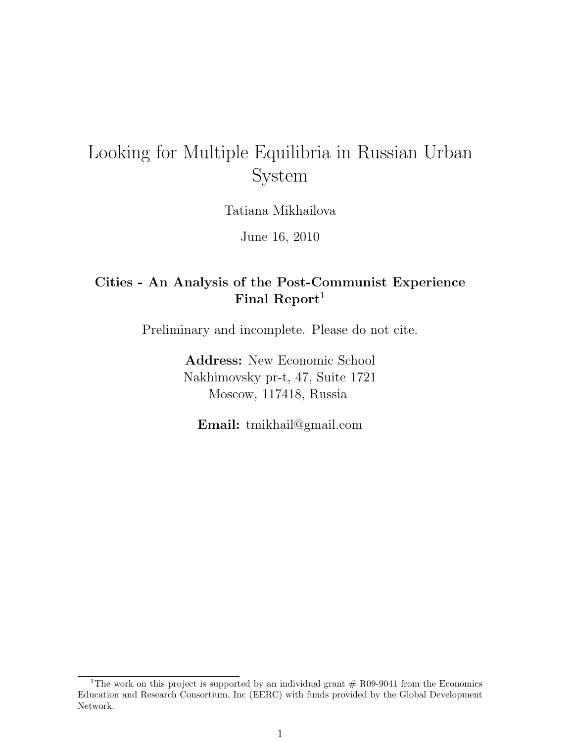# Looking for Multiple Equilibria in Russian Urban System

Tatiana Mikhailova

June 16, 2010

# Cities - An Analysis of the Post-Communist Experience Final Report<sup>1</sup>

Preliminary and incomplete. Please do not cite.

Address: New Economic School Nakhimovsky pr-t, 47, Suite 1721 Moscow, 117418, Russia

Email: tmikhail@gmail.com

<sup>&</sup>lt;sup>1</sup>The work on this project is supported by an individual grant  $#$  R09-9041 from the Economics Education and Research Consortium, Inc (EERC) with funds provided by the Global Development Network.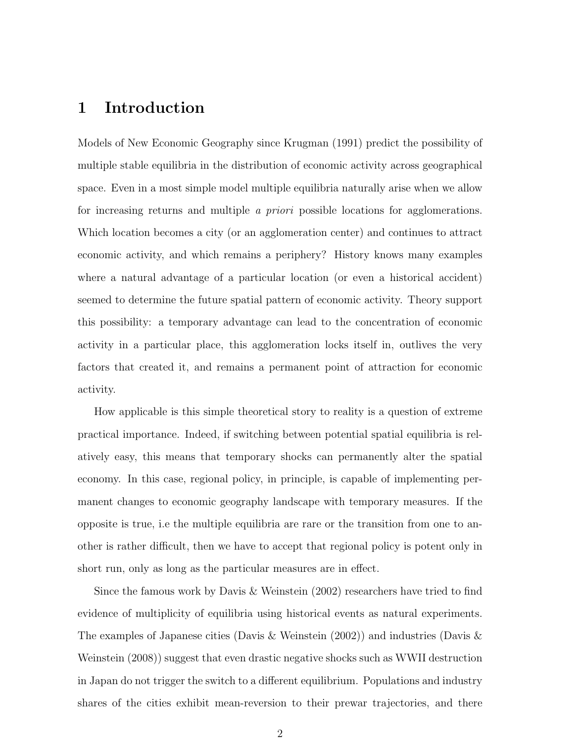# 1 Introduction

Models of New Economic Geography since Krugman (1991) predict the possibility of multiple stable equilibria in the distribution of economic activity across geographical space. Even in a most simple model multiple equilibria naturally arise when we allow for increasing returns and multiple a priori possible locations for agglomerations. Which location becomes a city (or an agglomeration center) and continues to attract economic activity, and which remains a periphery? History knows many examples where a natural advantage of a particular location (or even a historical accident) seemed to determine the future spatial pattern of economic activity. Theory support this possibility: a temporary advantage can lead to the concentration of economic activity in a particular place, this agglomeration locks itself in, outlives the very factors that created it, and remains a permanent point of attraction for economic activity.

How applicable is this simple theoretical story to reality is a question of extreme practical importance. Indeed, if switching between potential spatial equilibria is relatively easy, this means that temporary shocks can permanently alter the spatial economy. In this case, regional policy, in principle, is capable of implementing permanent changes to economic geography landscape with temporary measures. If the opposite is true, i.e the multiple equilibria are rare or the transition from one to another is rather difficult, then we have to accept that regional policy is potent only in short run, only as long as the particular measures are in effect.

Since the famous work by Davis & Weinstein (2002) researchers have tried to find evidence of multiplicity of equilibria using historical events as natural experiments. The examples of Japanese cities (Davis & Weinstein (2002)) and industries (Davis & Weinstein (2008)) suggest that even drastic negative shocks such as WWII destruction in Japan do not trigger the switch to a different equilibrium. Populations and industry shares of the cities exhibit mean-reversion to their prewar trajectories, and there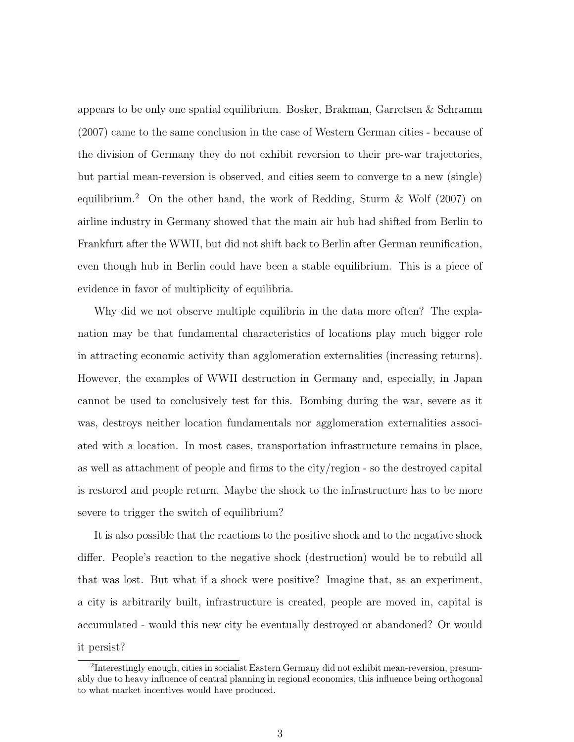appears to be only one spatial equilibrium. Bosker, Brakman, Garretsen & Schramm (2007) came to the same conclusion in the case of Western German cities - because of the division of Germany they do not exhibit reversion to their pre-war trajectories, but partial mean-reversion is observed, and cities seem to converge to a new (single) equilibrium.<sup>2</sup> On the other hand, the work of Redding, Sturm & Wolf (2007) on airline industry in Germany showed that the main air hub had shifted from Berlin to Frankfurt after the WWII, but did not shift back to Berlin after German reunification, even though hub in Berlin could have been a stable equilibrium. This is a piece of evidence in favor of multiplicity of equilibria.

Why did we not observe multiple equilibria in the data more often? The explanation may be that fundamental characteristics of locations play much bigger role in attracting economic activity than agglomeration externalities (increasing returns). However, the examples of WWII destruction in Germany and, especially, in Japan cannot be used to conclusively test for this. Bombing during the war, severe as it was, destroys neither location fundamentals nor agglomeration externalities associated with a location. In most cases, transportation infrastructure remains in place, as well as attachment of people and firms to the city/region - so the destroyed capital is restored and people return. Maybe the shock to the infrastructure has to be more severe to trigger the switch of equilibrium?

It is also possible that the reactions to the positive shock and to the negative shock differ. People's reaction to the negative shock (destruction) would be to rebuild all that was lost. But what if a shock were positive? Imagine that, as an experiment, a city is arbitrarily built, infrastructure is created, people are moved in, capital is accumulated - would this new city be eventually destroyed or abandoned? Or would it persist?

<sup>&</sup>lt;sup>2</sup>Interestingly enough, cities in socialist Eastern Germany did not exhibit mean-reversion, presumably due to heavy influence of central planning in regional economics, this influence being orthogonal to what market incentives would have produced.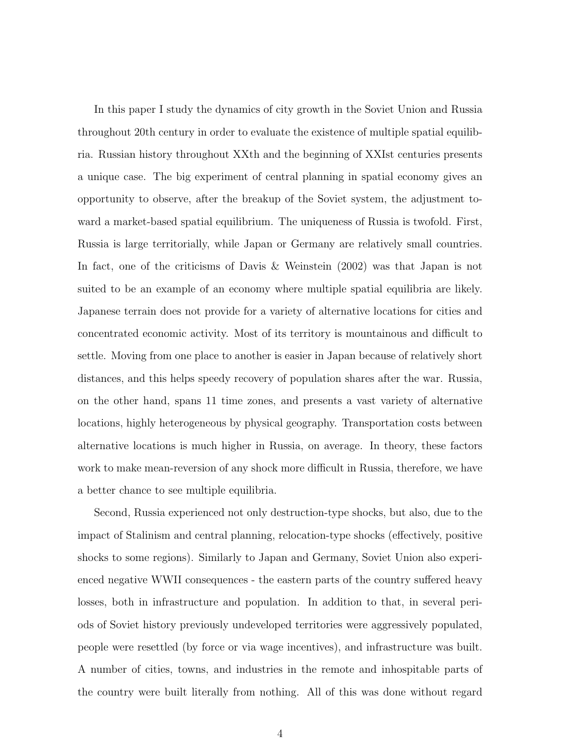In this paper I study the dynamics of city growth in the Soviet Union and Russia throughout 20th century in order to evaluate the existence of multiple spatial equilibria. Russian history throughout XXth and the beginning of XXIst centuries presents a unique case. The big experiment of central planning in spatial economy gives an opportunity to observe, after the breakup of the Soviet system, the adjustment toward a market-based spatial equilibrium. The uniqueness of Russia is twofold. First, Russia is large territorially, while Japan or Germany are relatively small countries. In fact, one of the criticisms of Davis & Weinstein (2002) was that Japan is not suited to be an example of an economy where multiple spatial equilibria are likely. Japanese terrain does not provide for a variety of alternative locations for cities and concentrated economic activity. Most of its territory is mountainous and difficult to settle. Moving from one place to another is easier in Japan because of relatively short distances, and this helps speedy recovery of population shares after the war. Russia, on the other hand, spans 11 time zones, and presents a vast variety of alternative locations, highly heterogeneous by physical geography. Transportation costs between alternative locations is much higher in Russia, on average. In theory, these factors work to make mean-reversion of any shock more difficult in Russia, therefore, we have a better chance to see multiple equilibria.

Second, Russia experienced not only destruction-type shocks, but also, due to the impact of Stalinism and central planning, relocation-type shocks (effectively, positive shocks to some regions). Similarly to Japan and Germany, Soviet Union also experienced negative WWII consequences - the eastern parts of the country suffered heavy losses, both in infrastructure and population. In addition to that, in several periods of Soviet history previously undeveloped territories were aggressively populated, people were resettled (by force or via wage incentives), and infrastructure was built. A number of cities, towns, and industries in the remote and inhospitable parts of the country were built literally from nothing. All of this was done without regard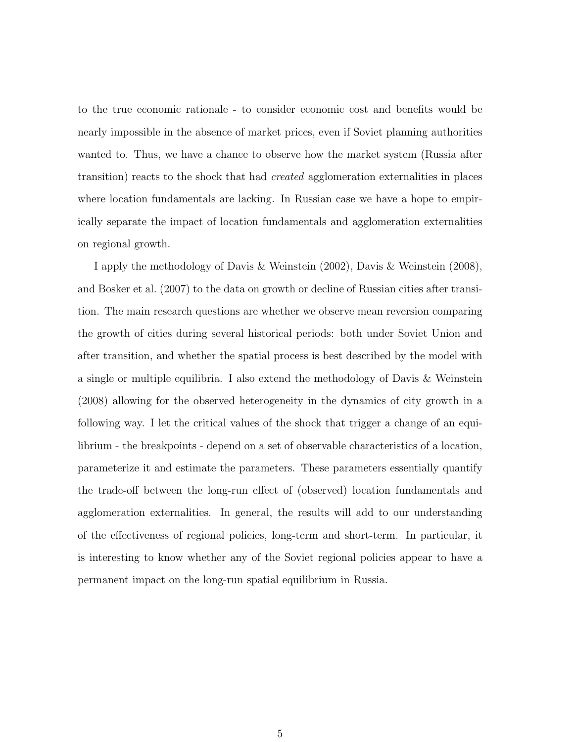to the true economic rationale - to consider economic cost and benefits would be nearly impossible in the absence of market prices, even if Soviet planning authorities wanted to. Thus, we have a chance to observe how the market system (Russia after transition) reacts to the shock that had created agglomeration externalities in places where location fundamentals are lacking. In Russian case we have a hope to empirically separate the impact of location fundamentals and agglomeration externalities on regional growth.

I apply the methodology of Davis & Weinstein (2002), Davis & Weinstein (2008), and Bosker et al. (2007) to the data on growth or decline of Russian cities after transition. The main research questions are whether we observe mean reversion comparing the growth of cities during several historical periods: both under Soviet Union and after transition, and whether the spatial process is best described by the model with a single or multiple equilibria. I also extend the methodology of Davis & Weinstein (2008) allowing for the observed heterogeneity in the dynamics of city growth in a following way. I let the critical values of the shock that trigger a change of an equilibrium - the breakpoints - depend on a set of observable characteristics of a location, parameterize it and estimate the parameters. These parameters essentially quantify the trade-off between the long-run effect of (observed) location fundamentals and agglomeration externalities. In general, the results will add to our understanding of the effectiveness of regional policies, long-term and short-term. In particular, it is interesting to know whether any of the Soviet regional policies appear to have a permanent impact on the long-run spatial equilibrium in Russia.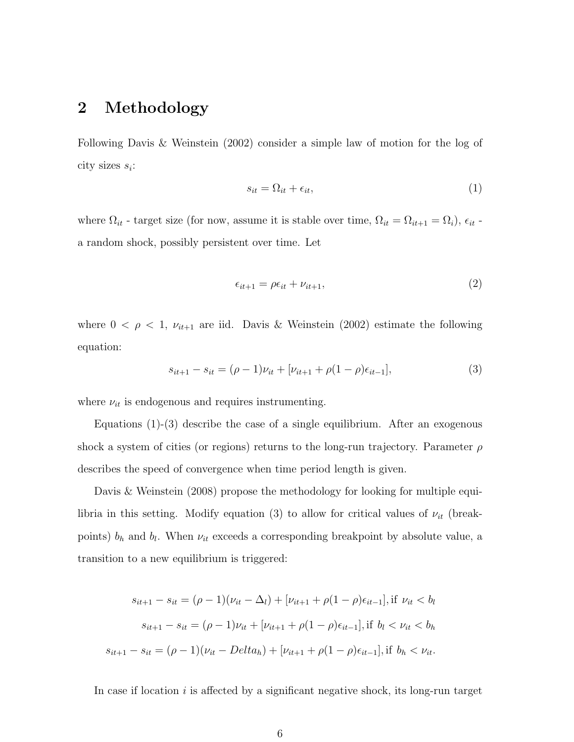### 2 Methodology

Following Davis & Weinstein (2002) consider a simple law of motion for the log of city sizes  $s_i$ :

$$
s_{it} = \Omega_{it} + \epsilon_{it},\tag{1}
$$

where  $\Omega_{it}$  - target size (for now, assume it is stable over time,  $\Omega_{it} = \Omega_{it+1} = \Omega_i$ ),  $\epsilon_{it}$  a random shock, possibly persistent over time. Let

$$
\epsilon_{it+1} = \rho \epsilon_{it} + \nu_{it+1},\tag{2}
$$

where  $0 < \rho < 1$ ,  $\nu_{it+1}$  are iid. Davis & Weinstein (2002) estimate the following equation:

$$
s_{it+1} - s_{it} = (\rho - 1)\nu_{it} + [\nu_{it+1} + \rho(1 - \rho)\epsilon_{it-1}],
$$
\n(3)

where  $\nu_{it}$  is endogenous and requires instrumenting.

Equations (1)-(3) describe the case of a single equilibrium. After an exogenous shock a system of cities (or regions) returns to the long-run trajectory. Parameter  $\rho$ describes the speed of convergence when time period length is given.

Davis & Weinstein (2008) propose the methodology for looking for multiple equilibria in this setting. Modify equation (3) to allow for critical values of  $\nu_{it}$  (breakpoints)  $b_h$  and  $b_l$ . When  $\nu_{it}$  exceeds a corresponding breakpoint by absolute value, a transition to a new equilibrium is triggered:

$$
s_{it+1} - s_{it} = (\rho - 1)(\nu_{it} - \Delta_l) + [\nu_{it+1} + \rho(1 - \rho)\epsilon_{it-1}], \text{ if } \nu_{it} < b_l
$$
\n
$$
s_{it+1} - s_{it} = (\rho - 1)\nu_{it} + [\nu_{it+1} + \rho(1 - \rho)\epsilon_{it-1}], \text{ if } b_l < \nu_{it} < b_h
$$
\n
$$
s_{it+1} - s_{it} = (\rho - 1)(\nu_{it} - Delta_h) + [\nu_{it+1} + \rho(1 - \rho)\epsilon_{it-1}], \text{ if } b_h < \nu_{it}.
$$

In case if location  $i$  is affected by a significant negative shock, its long-run target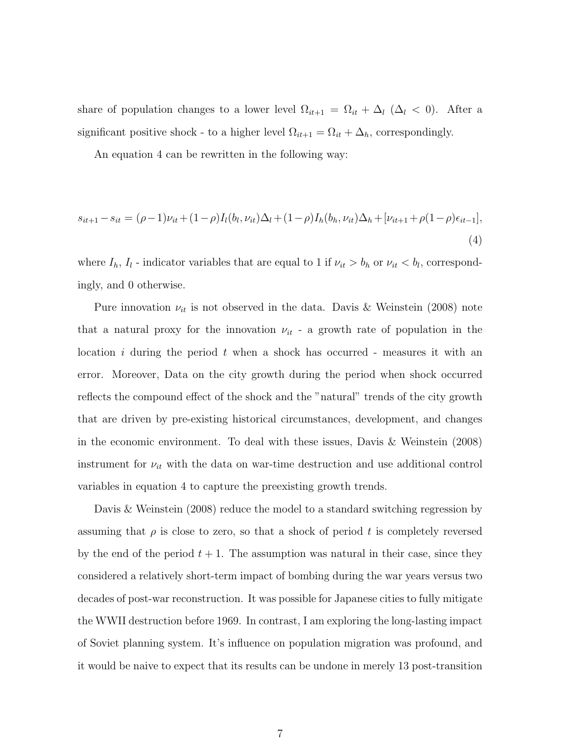share of population changes to a lower level  $\Omega_{it+1} = \Omega_{it} + \Delta_l$  ( $\Delta_l < 0$ ). After a significant positive shock - to a higher level  $\Omega_{it+1} = \Omega_{it} + \Delta_h$ , correspondingly.

An equation 4 can be rewritten in the following way:

$$
s_{it+1} - s_{it} = (\rho - 1)\nu_{it} + (1 - \rho)I_l(b_l, \nu_{it})\Delta_l + (1 - \rho)I_h(b_h, \nu_{it})\Delta_h + [\nu_{it+1} + \rho(1 - \rho)\epsilon_{it-1}],
$$
\n(4)

where  $I_h$ ,  $I_l$  - indicator variables that are equal to 1 if  $\nu_{it} > b_h$  or  $\nu_{it} < b_l$ , correspondingly, and 0 otherwise.

Pure innovation  $\nu_{it}$  is not observed in the data. Davis & Weinstein (2008) note that a natural proxy for the innovation  $\nu_{it}$  - a growth rate of population in the location i during the period t when a shock has occurred - measures it with an error. Moreover, Data on the city growth during the period when shock occurred reflects the compound effect of the shock and the "natural" trends of the city growth that are driven by pre-existing historical circumstances, development, and changes in the economic environment. To deal with these issues, Davis & Weinstein (2008) instrument for  $\nu_{it}$  with the data on war-time destruction and use additional control variables in equation 4 to capture the preexisting growth trends.

Davis & Weinstein (2008) reduce the model to a standard switching regression by assuming that  $\rho$  is close to zero, so that a shock of period t is completely reversed by the end of the period  $t + 1$ . The assumption was natural in their case, since they considered a relatively short-term impact of bombing during the war years versus two decades of post-war reconstruction. It was possible for Japanese cities to fully mitigate the WWII destruction before 1969. In contrast, I am exploring the long-lasting impact of Soviet planning system. It's influence on population migration was profound, and it would be naive to expect that its results can be undone in merely 13 post-transition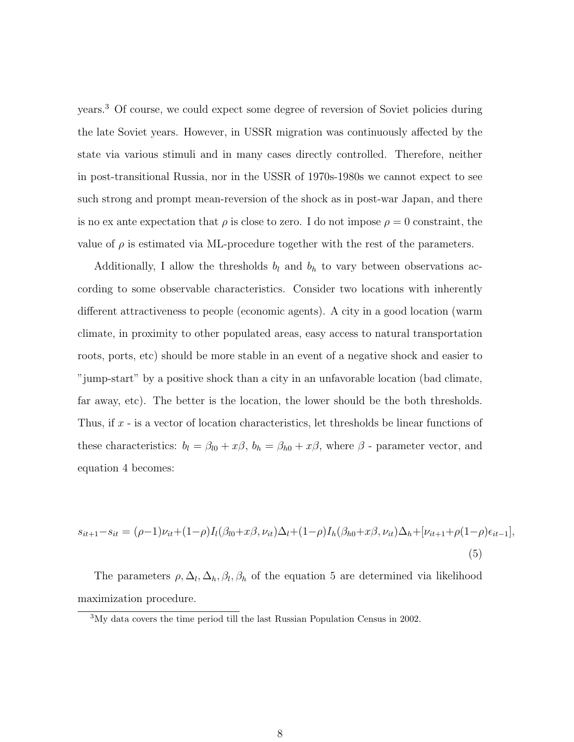years.<sup>3</sup> Of course, we could expect some degree of reversion of Soviet policies during the late Soviet years. However, in USSR migration was continuously affected by the state via various stimuli and in many cases directly controlled. Therefore, neither in post-transitional Russia, nor in the USSR of 1970s-1980s we cannot expect to see such strong and prompt mean-reversion of the shock as in post-war Japan, and there is no ex ante expectation that  $\rho$  is close to zero. I do not impose  $\rho = 0$  constraint, the value of  $\rho$  is estimated via ML-procedure together with the rest of the parameters.

Additionally, I allow the thresholds  $b_l$  and  $b_h$  to vary between observations according to some observable characteristics. Consider two locations with inherently different attractiveness to people (economic agents). A city in a good location (warm climate, in proximity to other populated areas, easy access to natural transportation roots, ports, etc) should be more stable in an event of a negative shock and easier to "jump-start" by a positive shock than a city in an unfavorable location (bad climate, far away, etc). The better is the location, the lower should be the both thresholds. Thus, if x - is a vector of location characteristics, let thresholds be linear functions of these characteristics:  $b_l = \beta_{l0} + x\beta$ ,  $b_h = \beta_{h0} + x\beta$ , where  $\beta$  - parameter vector, and equation 4 becomes:

$$
s_{it+1} - s_{it} = (\rho - 1)\nu_{it} + (1 - \rho)I_l(\beta_{l0} + x\beta, \nu_{it})\Delta_l + (1 - \rho)I_h(\beta_{h0} + x\beta, \nu_{it})\Delta_h + [\nu_{it+1} + \rho(1 - \rho)\epsilon_{it-1}],
$$
\n(5)

The parameters  $\rho, \Delta_l, \Delta_h, \beta_l, \beta_h$  of the equation 5 are determined via likelihood maximization procedure.

<sup>3</sup>My data covers the time period till the last Russian Population Census in 2002.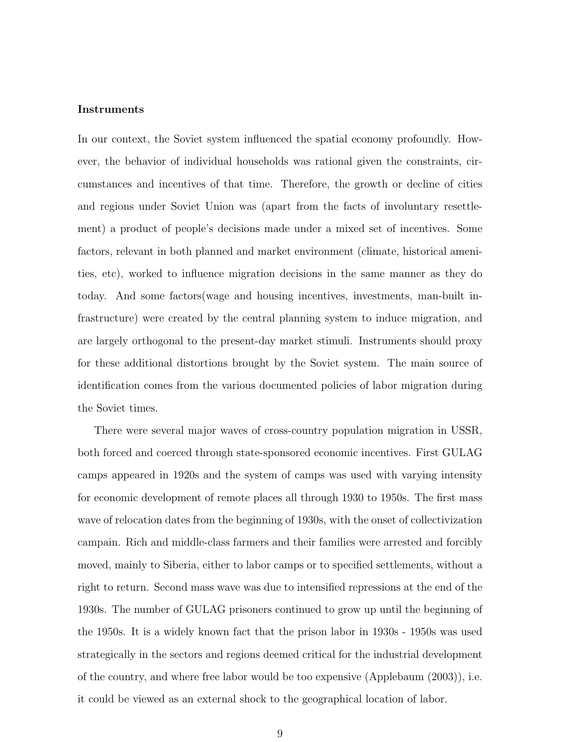#### Instruments

In our context, the Soviet system influenced the spatial economy profoundly. However, the behavior of individual households was rational given the constraints, circumstances and incentives of that time. Therefore, the growth or decline of cities and regions under Soviet Union was (apart from the facts of involuntary resettlement) a product of people's decisions made under a mixed set of incentives. Some factors, relevant in both planned and market environment (climate, historical amenities, etc), worked to influence migration decisions in the same manner as they do today. And some factors(wage and housing incentives, investments, man-built infrastructure) were created by the central planning system to induce migration, and are largely orthogonal to the present-day market stimuli. Instruments should proxy for these additional distortions brought by the Soviet system. The main source of identification comes from the various documented policies of labor migration during the Soviet times.

There were several major waves of cross-country population migration in USSR, both forced and coerced through state-sponsored economic incentives. First GULAG camps appeared in 1920s and the system of camps was used with varying intensity for economic development of remote places all through 1930 to 1950s. The first mass wave of relocation dates from the beginning of 1930s, with the onset of collectivization campain. Rich and middle-class farmers and their families were arrested and forcibly moved, mainly to Siberia, either to labor camps or to specified settlements, without a right to return. Second mass wave was due to intensified repressions at the end of the 1930s. The number of GULAG prisoners continued to grow up until the beginning of the 1950s. It is a widely known fact that the prison labor in 1930s - 1950s was used strategically in the sectors and regions deemed critical for the industrial development of the country, and where free labor would be too expensive (Applebaum (2003)), i.e. it could be viewed as an external shock to the geographical location of labor.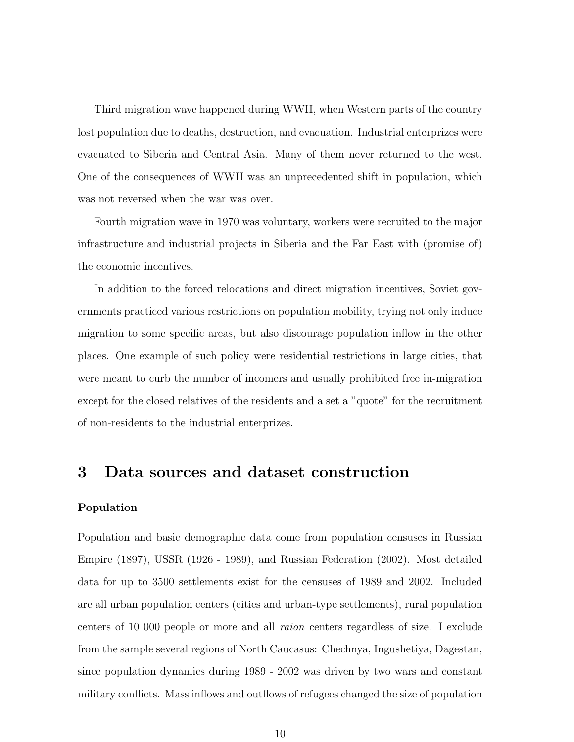Third migration wave happened during WWII, when Western parts of the country lost population due to deaths, destruction, and evacuation. Industrial enterprizes were evacuated to Siberia and Central Asia. Many of them never returned to the west. One of the consequences of WWII was an unprecedented shift in population, which was not reversed when the war was over.

Fourth migration wave in 1970 was voluntary, workers were recruited to the major infrastructure and industrial projects in Siberia and the Far East with (promise of) the economic incentives.

In addition to the forced relocations and direct migration incentives, Soviet governments practiced various restrictions on population mobility, trying not only induce migration to some specific areas, but also discourage population inflow in the other places. One example of such policy were residential restrictions in large cities, that were meant to curb the number of incomers and usually prohibited free in-migration except for the closed relatives of the residents and a set a "quote" for the recruitment of non-residents to the industrial enterprizes.

# 3 Data sources and dataset construction

### Population

Population and basic demographic data come from population censuses in Russian Empire (1897), USSR (1926 - 1989), and Russian Federation (2002). Most detailed data for up to 3500 settlements exist for the censuses of 1989 and 2002. Included are all urban population centers (cities and urban-type settlements), rural population centers of 10 000 people or more and all raion centers regardless of size. I exclude from the sample several regions of North Caucasus: Chechnya, Ingushetiya, Dagestan, since population dynamics during 1989 - 2002 was driven by two wars and constant military conflicts. Mass inflows and outflows of refugees changed the size of population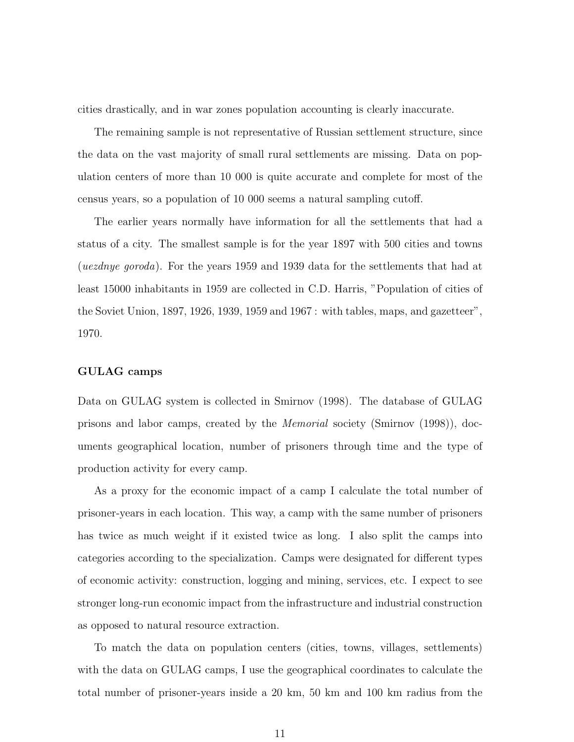cities drastically, and in war zones population accounting is clearly inaccurate.

The remaining sample is not representative of Russian settlement structure, since the data on the vast majority of small rural settlements are missing. Data on population centers of more than 10 000 is quite accurate and complete for most of the census years, so a population of 10 000 seems a natural sampling cutoff.

The earlier years normally have information for all the settlements that had a status of a city. The smallest sample is for the year 1897 with 500 cities and towns (*uezdnye goroda*). For the years 1959 and 1939 data for the settlements that had at least 15000 inhabitants in 1959 are collected in C.D. Harris, "Population of cities of the Soviet Union, 1897, 1926, 1939, 1959 and 1967 : with tables, maps, and gazetteer", 1970.

#### GULAG camps

Data on GULAG system is collected in Smirnov (1998). The database of GULAG prisons and labor camps, created by the Memorial society (Smirnov (1998)), documents geographical location, number of prisoners through time and the type of production activity for every camp.

As a proxy for the economic impact of a camp I calculate the total number of prisoner-years in each location. This way, a camp with the same number of prisoners has twice as much weight if it existed twice as long. I also split the camps into categories according to the specialization. Camps were designated for different types of economic activity: construction, logging and mining, services, etc. I expect to see stronger long-run economic impact from the infrastructure and industrial construction as opposed to natural resource extraction.

To match the data on population centers (cities, towns, villages, settlements) with the data on GULAG camps, I use the geographical coordinates to calculate the total number of prisoner-years inside a 20 km, 50 km and 100 km radius from the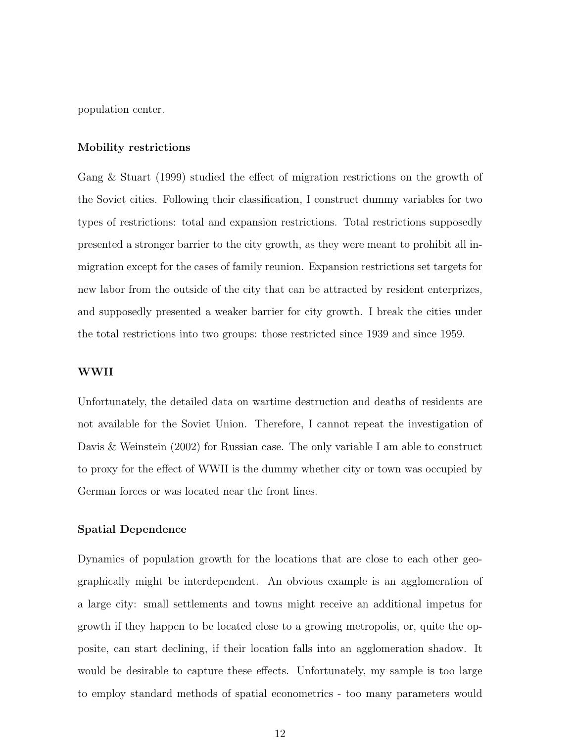population center.

#### Mobility restrictions

Gang & Stuart (1999) studied the effect of migration restrictions on the growth of the Soviet cities. Following their classification, I construct dummy variables for two types of restrictions: total and expansion restrictions. Total restrictions supposedly presented a stronger barrier to the city growth, as they were meant to prohibit all inmigration except for the cases of family reunion. Expansion restrictions set targets for new labor from the outside of the city that can be attracted by resident enterprizes, and supposedly presented a weaker barrier for city growth. I break the cities under the total restrictions into two groups: those restricted since 1939 and since 1959.

### WWII

Unfortunately, the detailed data on wartime destruction and deaths of residents are not available for the Soviet Union. Therefore, I cannot repeat the investigation of Davis & Weinstein (2002) for Russian case. The only variable I am able to construct to proxy for the effect of WWII is the dummy whether city or town was occupied by German forces or was located near the front lines.

### Spatial Dependence

Dynamics of population growth for the locations that are close to each other geographically might be interdependent. An obvious example is an agglomeration of a large city: small settlements and towns might receive an additional impetus for growth if they happen to be located close to a growing metropolis, or, quite the opposite, can start declining, if their location falls into an agglomeration shadow. It would be desirable to capture these effects. Unfortunately, my sample is too large to employ standard methods of spatial econometrics - too many parameters would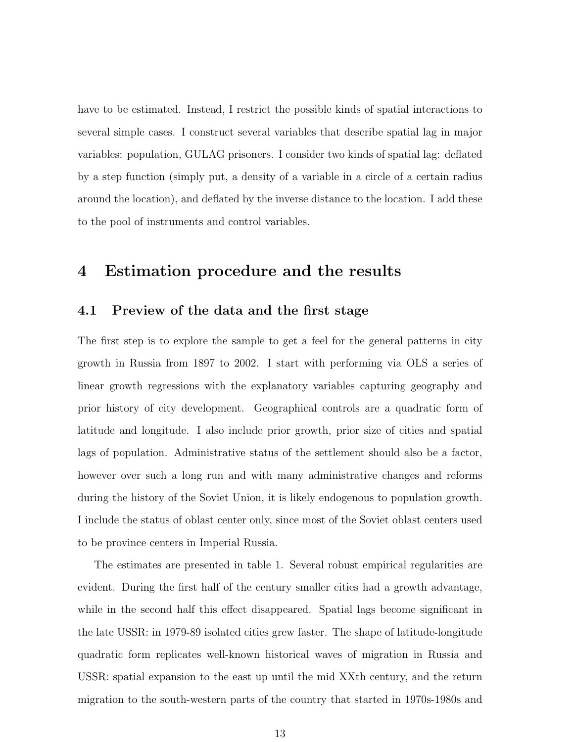have to be estimated. Instead, I restrict the possible kinds of spatial interactions to several simple cases. I construct several variables that describe spatial lag in major variables: population, GULAG prisoners. I consider two kinds of spatial lag: deflated by a step function (simply put, a density of a variable in a circle of a certain radius around the location), and deflated by the inverse distance to the location. I add these to the pool of instruments and control variables.

### 4 Estimation procedure and the results

### 4.1 Preview of the data and the first stage

The first step is to explore the sample to get a feel for the general patterns in city growth in Russia from 1897 to 2002. I start with performing via OLS a series of linear growth regressions with the explanatory variables capturing geography and prior history of city development. Geographical controls are a quadratic form of latitude and longitude. I also include prior growth, prior size of cities and spatial lags of population. Administrative status of the settlement should also be a factor, however over such a long run and with many administrative changes and reforms during the history of the Soviet Union, it is likely endogenous to population growth. I include the status of oblast center only, since most of the Soviet oblast centers used to be province centers in Imperial Russia.

The estimates are presented in table 1. Several robust empirical regularities are evident. During the first half of the century smaller cities had a growth advantage, while in the second half this effect disappeared. Spatial lags become significant in the late USSR: in 1979-89 isolated cities grew faster. The shape of latitude-longitude quadratic form replicates well-known historical waves of migration in Russia and USSR: spatial expansion to the east up until the mid XXth century, and the return migration to the south-western parts of the country that started in 1970s-1980s and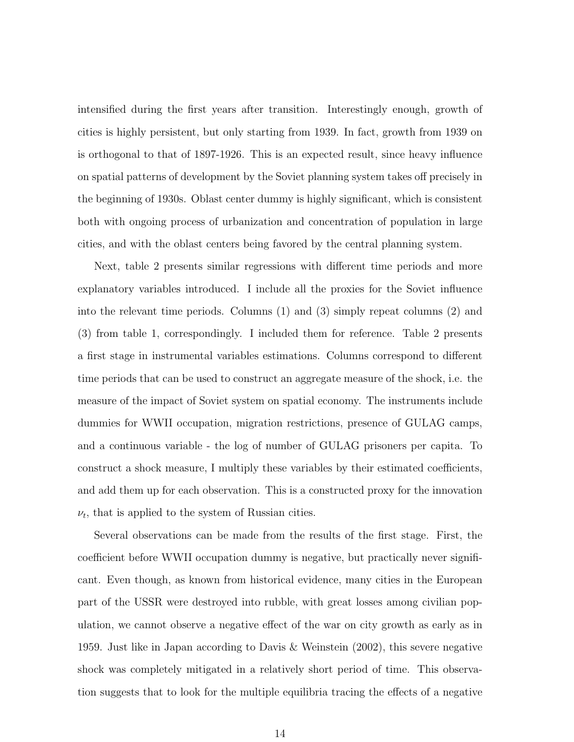intensified during the first years after transition. Interestingly enough, growth of cities is highly persistent, but only starting from 1939. In fact, growth from 1939 on is orthogonal to that of 1897-1926. This is an expected result, since heavy influence on spatial patterns of development by the Soviet planning system takes off precisely in the beginning of 1930s. Oblast center dummy is highly significant, which is consistent both with ongoing process of urbanization and concentration of population in large cities, and with the oblast centers being favored by the central planning system.

Next, table 2 presents similar regressions with different time periods and more explanatory variables introduced. I include all the proxies for the Soviet influence into the relevant time periods. Columns (1) and (3) simply repeat columns (2) and (3) from table 1, correspondingly. I included them for reference. Table 2 presents a first stage in instrumental variables estimations. Columns correspond to different time periods that can be used to construct an aggregate measure of the shock, i.e. the measure of the impact of Soviet system on spatial economy. The instruments include dummies for WWII occupation, migration restrictions, presence of GULAG camps, and a continuous variable - the log of number of GULAG prisoners per capita. To construct a shock measure, I multiply these variables by their estimated coefficients, and add them up for each observation. This is a constructed proxy for the innovation  $\nu_t$ , that is applied to the system of Russian cities.

Several observations can be made from the results of the first stage. First, the coefficient before WWII occupation dummy is negative, but practically never significant. Even though, as known from historical evidence, many cities in the European part of the USSR were destroyed into rubble, with great losses among civilian population, we cannot observe a negative effect of the war on city growth as early as in 1959. Just like in Japan according to Davis & Weinstein (2002), this severe negative shock was completely mitigated in a relatively short period of time. This observation suggests that to look for the multiple equilibria tracing the effects of a negative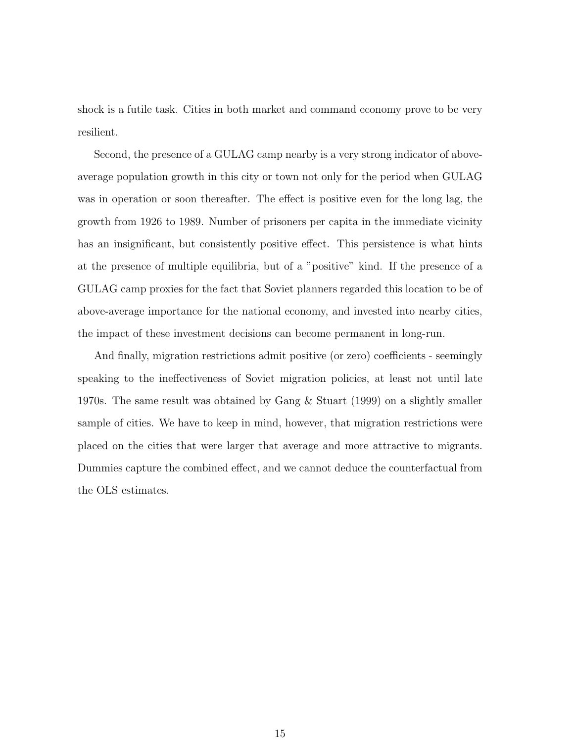shock is a futile task. Cities in both market and command economy prove to be very resilient.

Second, the presence of a GULAG camp nearby is a very strong indicator of aboveaverage population growth in this city or town not only for the period when GULAG was in operation or soon thereafter. The effect is positive even for the long lag, the growth from 1926 to 1989. Number of prisoners per capita in the immediate vicinity has an insignificant, but consistently positive effect. This persistence is what hints at the presence of multiple equilibria, but of a "positive" kind. If the presence of a GULAG camp proxies for the fact that Soviet planners regarded this location to be of above-average importance for the national economy, and invested into nearby cities, the impact of these investment decisions can become permanent in long-run.

And finally, migration restrictions admit positive (or zero) coefficients - seemingly speaking to the ineffectiveness of Soviet migration policies, at least not until late 1970s. The same result was obtained by Gang & Stuart (1999) on a slightly smaller sample of cities. We have to keep in mind, however, that migration restrictions were placed on the cities that were larger that average and more attractive to migrants. Dummies capture the combined effect, and we cannot deduce the counterfactual from the OLS estimates.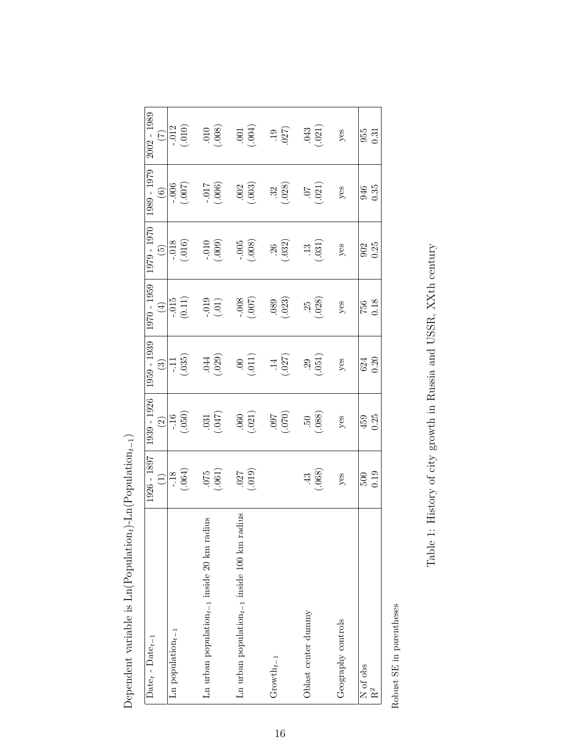| $Date_t - Date_{t-1}$                             | 1926 - 1897      | 1939 - 1926              | 1959 - 1939 | 1970 - 1959   | 1979 - 1970     | 1989 - 1979        | $2002 - 1989$     |
|---------------------------------------------------|------------------|--------------------------|-------------|---------------|-----------------|--------------------|-------------------|
|                                                   | $\bigoplus$      | $\widehat{\mathfrak{O}}$ | $\odot$     | $(\pm)$       | $\widetilde{5}$ | $\odot$            | $\widetilde{\Xi}$ |
| Ln population $_{t-1}$                            |                  | $-16$                    | Ę           | $\frac{1}{2}$ | $-0.018$        | $\frac{1}{200}$    | $-0.012$          |
|                                                   | $-18$<br>064)    | $(050)$                  | (35)        | (11)          | (.016)          | (700)              | (.010)            |
| Ln urban population $_{t-1}$ inside 20 km radius  |                  |                          | .044        | $-0.019$      |                 |                    | $010$ .           |
|                                                   | (1900, 000)      | $.031$<br>$047$          | (029)       | (.01)         | $(600)$ .       | 1000.)<br>210.-    | (.008)            |
| Ln urban population $_{t-1}$ inside 100 km radius |                  |                          | $00$ .      |               |                 |                    | $.001$            |
|                                                   | (610, 000)       | (0.000)                  | (11)        | (200)         | (900)           | $.002$<br>$(.003)$ | (600)             |
| Growth $_{t-1}$                                   |                  |                          | $\ddot{=}$  | .089          | 26              | 32                 | .19               |
|                                                   |                  | (020)                    | (.027)      | (.023)        | (032)           | (.028)             | (027)             |
| Oblast center dummy                               |                  | $\ddot{50}$              | .29         | .25           | $\ddot{1}$      | 70.                | .043              |
|                                                   | $\frac{43}{068}$ | $(880)$                  | (151)       | (028)         | (180, 0)        | (.021)             | (021)             |
| Geography controls                                | yes              | yes                      | yes         | yes           | yes             | yes                | yes               |
|                                                   |                  |                          |             |               |                 |                    |                   |
| $\rm \overline{N}$ of obs                         | 500              | 459                      | 624         | 756           | 902             | 946                | 955               |
| $\mathrm{R}^2$                                    | 0.19             | 0.25                     | 0.20        | 0.18          | 0.25            | 0.35               | $\overline{0.31}$ |
|                                                   |                  |                          |             |               |                 |                    |                   |

Dependent variable is  $\mathrm{Ln}(\mathrm{Population}_t)\text{-Ln}(\mathrm{Population}_{t-1})$ Dependent variable is Ln(Population<sub>t</sub>)-Ln(Population<sub>t−1</sub>)

Robust $\rm SE$  in parentheses Robust SE in parentheses

Table 1: History of city growth in Russia and USSR, XXth century Table 1: History of city growth in Russia and USSR, XXth century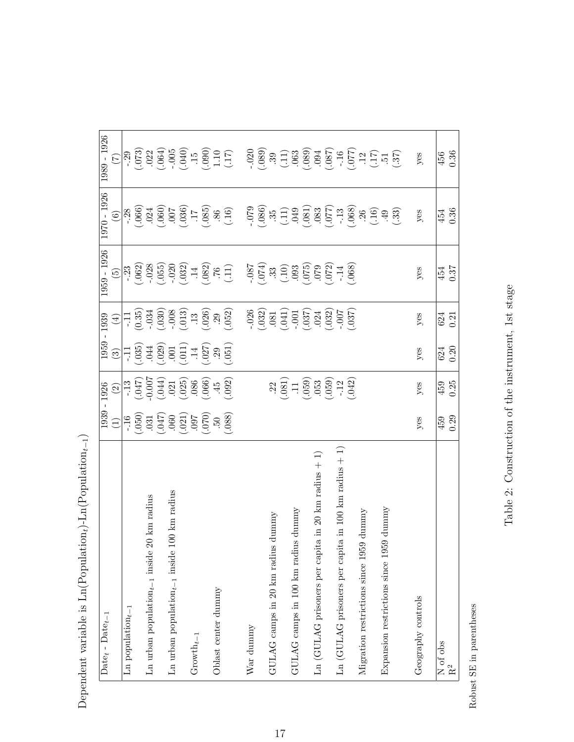| $Date_t - Date_{t-1}$                                      |                 | 1939 - 1926                                                                                                                                                                                                                                                                                                                         |                                                                                                                                                                                                                                                                                                                                  | 1959 - 1939                                                                                                       | 1959 - 1926                                                                                                                                                                                                                                                                                                                                   | 1970 - 1926                                                                                                                                                                                                                                                                                                                                                                                                                                                                  | 1989 - 1926                                                                                                                                                                                                                                                                                                                                       |
|------------------------------------------------------------|-----------------|-------------------------------------------------------------------------------------------------------------------------------------------------------------------------------------------------------------------------------------------------------------------------------------------------------------------------------------|----------------------------------------------------------------------------------------------------------------------------------------------------------------------------------------------------------------------------------------------------------------------------------------------------------------------------------|-------------------------------------------------------------------------------------------------------------------|-----------------------------------------------------------------------------------------------------------------------------------------------------------------------------------------------------------------------------------------------------------------------------------------------------------------------------------------------|------------------------------------------------------------------------------------------------------------------------------------------------------------------------------------------------------------------------------------------------------------------------------------------------------------------------------------------------------------------------------------------------------------------------------------------------------------------------------|---------------------------------------------------------------------------------------------------------------------------------------------------------------------------------------------------------------------------------------------------------------------------------------------------------------------------------------------------|
|                                                            | $\widehat{\Xi}$ | $\widehat{\Omega}$                                                                                                                                                                                                                                                                                                                  | $\odot$                                                                                                                                                                                                                                                                                                                          | $\bigoplus$                                                                                                       | $\widetilde{G}$                                                                                                                                                                                                                                                                                                                               | $\odot$                                                                                                                                                                                                                                                                                                                                                                                                                                                                      | $\widehat{C}$                                                                                                                                                                                                                                                                                                                                     |
| Ln population $_{t-1}$                                     |                 |                                                                                                                                                                                                                                                                                                                                     |                                                                                                                                                                                                                                                                                                                                  |                                                                                                                   |                                                                                                                                                                                                                                                                                                                                               |                                                                                                                                                                                                                                                                                                                                                                                                                                                                              |                                                                                                                                                                                                                                                                                                                                                   |
|                                                            |                 |                                                                                                                                                                                                                                                                                                                                     |                                                                                                                                                                                                                                                                                                                                  |                                                                                                                   |                                                                                                                                                                                                                                                                                                                                               |                                                                                                                                                                                                                                                                                                                                                                                                                                                                              |                                                                                                                                                                                                                                                                                                                                                   |
| Ln urban population $_{t-1}$ inside 20 km radius           |                 |                                                                                                                                                                                                                                                                                                                                     |                                                                                                                                                                                                                                                                                                                                  |                                                                                                                   |                                                                                                                                                                                                                                                                                                                                               |                                                                                                                                                                                                                                                                                                                                                                                                                                                                              |                                                                                                                                                                                                                                                                                                                                                   |
|                                                            |                 |                                                                                                                                                                                                                                                                                                                                     |                                                                                                                                                                                                                                                                                                                                  |                                                                                                                   |                                                                                                                                                                                                                                                                                                                                               |                                                                                                                                                                                                                                                                                                                                                                                                                                                                              |                                                                                                                                                                                                                                                                                                                                                   |
| 00 km radius<br>Ln urban population $_{t-1}$ inside 1      |                 |                                                                                                                                                                                                                                                                                                                                     |                                                                                                                                                                                                                                                                                                                                  |                                                                                                                   |                                                                                                                                                                                                                                                                                                                                               |                                                                                                                                                                                                                                                                                                                                                                                                                                                                              |                                                                                                                                                                                                                                                                                                                                                   |
|                                                            |                 | $\frac{1}{113}$<br>$\frac{1}{110}$<br>$\frac{1}{100}$<br>$\frac{1}{100}$<br>$\frac{1}{100}$<br>$\frac{1}{100}$<br>$\frac{1}{100}$<br>$\frac{1}{100}$<br>$\frac{1}{100}$<br>$\frac{1}{100}$<br>$\frac{1}{100}$<br>$\frac{1}{100}$<br>$\frac{1}{100}$<br>$\frac{1}{100}$<br>$\frac{1}{100}$<br>$\frac{1}{100}$<br>$\frac{1}{100}$<br> | $\begin{array}{ l} 11.035 \\ -0.035 \\ 0.011 \\ -0.011 \\ -0.011 \\ -0.011 \\ -0.011 \\ -0.011 \\ -0.011 \\ -0.011 \\ -0.011 \\ -0.011 \\ -0.011 \\ -0.011 \\ -0.011 \\ -0.011 \\ -0.011 \\ -0.011 \\ -0.011 \\ -0.011 \\ -0.011 \\ -0.011 \\ -0.011 \\ -0.011 \\ -0.011 \\ -0.011 \\ -0.011 \\ -0.011 \\ -0.011 \\ -0.011 \\ -$ |                                                                                                                   |                                                                                                                                                                                                                                                                                                                                               |                                                                                                                                                                                                                                                                                                                                                                                                                                                                              |                                                                                                                                                                                                                                                                                                                                                   |
| $Group_{t-1}$                                              |                 |                                                                                                                                                                                                                                                                                                                                     |                                                                                                                                                                                                                                                                                                                                  |                                                                                                                   |                                                                                                                                                                                                                                                                                                                                               |                                                                                                                                                                                                                                                                                                                                                                                                                                                                              |                                                                                                                                                                                                                                                                                                                                                   |
|                                                            |                 |                                                                                                                                                                                                                                                                                                                                     |                                                                                                                                                                                                                                                                                                                                  |                                                                                                                   |                                                                                                                                                                                                                                                                                                                                               |                                                                                                                                                                                                                                                                                                                                                                                                                                                                              |                                                                                                                                                                                                                                                                                                                                                   |
| Oblast center dummy                                        |                 |                                                                                                                                                                                                                                                                                                                                     |                                                                                                                                                                                                                                                                                                                                  |                                                                                                                   |                                                                                                                                                                                                                                                                                                                                               |                                                                                                                                                                                                                                                                                                                                                                                                                                                                              |                                                                                                                                                                                                                                                                                                                                                   |
|                                                            |                 |                                                                                                                                                                                                                                                                                                                                     |                                                                                                                                                                                                                                                                                                                                  | $-11$<br>$(0.35)$<br>$(0.35)$<br>$(0.30)$<br>$(0.30)$<br>$(0.30)$<br>$(0.30)$<br>$(0.30)$<br>$(0.30)$<br>$(0.30)$ | $\frac{1}{23}$<br>$\frac{1}{25}$<br>$\frac{1}{25}$<br>$\frac{1}{25}$<br>$\frac{1}{25}$<br>$\frac{1}{25}$<br>$\frac{1}{25}$<br>$\frac{1}{25}$<br>$\frac{1}{25}$<br>$\frac{1}{25}$<br>$\frac{1}{25}$<br>$\frac{1}{25}$<br>$\frac{1}{25}$<br>$\frac{1}{25}$<br>$\frac{1}{25}$<br>$\frac{1}{25}$<br>$\frac{1}{25}$<br>$\frac{1}{25}$<br>$\frac{1$ | $\frac{128}{1000}$<br>$\frac{660}{1000}$<br>$\frac{17}{1000}$<br>$\frac{660}{1000}$<br>$\frac{17}{1000}$<br>$\frac{660}{1000}$                                                                                                                                                                                                                                                                                                                                               | $\frac{1}{29}$<br>$\frac{1}{20}$<br>$\frac{1}{20}$<br>$\frac{1}{20}$<br>$\frac{1}{20}$<br>$\frac{1}{20}$<br>$\frac{1}{20}$<br>$\frac{1}{20}$<br>$\frac{1}{20}$<br>$\frac{1}{20}$<br>$\frac{1}{20}$<br>$\frac{1}{20}$<br>$\frac{1}{20}$<br>$\frac{1}{20}$<br>$\frac{1}{20}$<br>$\frac{1}{20}$<br>$\frac{1}{20}$<br>$\frac{1}{20}$<br>$\frac{1$     |
| War dunmy                                                  |                 |                                                                                                                                                                                                                                                                                                                                     |                                                                                                                                                                                                                                                                                                                                  |                                                                                                                   |                                                                                                                                                                                                                                                                                                                                               | $\begin{bmatrix} 79 \\ -0.86 \\ 0.96 \\ \vdots \end{bmatrix} \begin{bmatrix} 1 \\ 1 \\ 0 \\ 0 \\ \vdots \end{bmatrix} \begin{bmatrix} 1 \\ 0 \\ 0 \\ 0 \\ \vdots \end{bmatrix} \begin{bmatrix} 1 \\ 0 \\ 0 \\ 0 \\ \vdots \end{bmatrix} \begin{bmatrix} 1 \\ 0 \\ 0 \\ 0 \\ \vdots \end{bmatrix} \begin{bmatrix} 1 \\ 0 \\ 0 \\ 0 \\ \vdots \end{bmatrix} \begin{bmatrix} 1 \\ 0 \\ 0 \\ 0 \\ \vdots \end{bmatrix} \begin{bmatrix} 1 \\ 0 \\ 0 \\ 0 \\ \vdots \end{bmatrix}$ |                                                                                                                                                                                                                                                                                                                                                   |
|                                                            |                 |                                                                                                                                                                                                                                                                                                                                     |                                                                                                                                                                                                                                                                                                                                  |                                                                                                                   |                                                                                                                                                                                                                                                                                                                                               |                                                                                                                                                                                                                                                                                                                                                                                                                                                                              |                                                                                                                                                                                                                                                                                                                                                   |
| dummy<br>GULAG camps in 20 km radius                       |                 |                                                                                                                                                                                                                                                                                                                                     |                                                                                                                                                                                                                                                                                                                                  |                                                                                                                   |                                                                                                                                                                                                                                                                                                                                               |                                                                                                                                                                                                                                                                                                                                                                                                                                                                              |                                                                                                                                                                                                                                                                                                                                                   |
|                                                            |                 |                                                                                                                                                                                                                                                                                                                                     |                                                                                                                                                                                                                                                                                                                                  |                                                                                                                   |                                                                                                                                                                                                                                                                                                                                               |                                                                                                                                                                                                                                                                                                                                                                                                                                                                              |                                                                                                                                                                                                                                                                                                                                                   |
| GULAG camps in 100 km radius dummy                         |                 |                                                                                                                                                                                                                                                                                                                                     |                                                                                                                                                                                                                                                                                                                                  |                                                                                                                   |                                                                                                                                                                                                                                                                                                                                               |                                                                                                                                                                                                                                                                                                                                                                                                                                                                              |                                                                                                                                                                                                                                                                                                                                                   |
|                                                            |                 | $\begin{array}{c} 22 \\ 21 \\ -11 \\ -105 \\ 050 \\ -12 \\ -12 \\ \hline \end{array}$                                                                                                                                                                                                                                               |                                                                                                                                                                                                                                                                                                                                  |                                                                                                                   |                                                                                                                                                                                                                                                                                                                                               |                                                                                                                                                                                                                                                                                                                                                                                                                                                                              | $\begin{array}{l} -020 \\[-4pt] -089 \\[-4pt] -0.89 \\[-4pt] -0.89 \\[-4pt] -0.89 \\[-4pt] -0.89 \\[-4pt] -0.80 \\[-4pt] -0.80 \\[-4pt] -0.80 \\[-4pt] -0.80 \\[-4pt] -0.80 \\[-4pt] -0.80 \\[-4pt] -0.80 \\[-4pt] -0.80 \\[-4pt] -0.80 \\[-4pt] -0.80 \\[-4pt] -0.80 \\[-4pt] -0.80 \\[-4pt] -0.80 \\[-4pt] -0.80 \\[-4pt] -0.80 \\[-4pt] -0.80$ |
| Ln (GULAG prisoners per capita in 20 km radius + 1)        |                 |                                                                                                                                                                                                                                                                                                                                     |                                                                                                                                                                                                                                                                                                                                  |                                                                                                                   |                                                                                                                                                                                                                                                                                                                                               |                                                                                                                                                                                                                                                                                                                                                                                                                                                                              |                                                                                                                                                                                                                                                                                                                                                   |
|                                                            |                 |                                                                                                                                                                                                                                                                                                                                     |                                                                                                                                                                                                                                                                                                                                  |                                                                                                                   |                                                                                                                                                                                                                                                                                                                                               |                                                                                                                                                                                                                                                                                                                                                                                                                                                                              |                                                                                                                                                                                                                                                                                                                                                   |
| a in 100 km radius $+1$ )<br>Ln (GULAG prisoners per capit |                 |                                                                                                                                                                                                                                                                                                                                     |                                                                                                                                                                                                                                                                                                                                  |                                                                                                                   |                                                                                                                                                                                                                                                                                                                                               |                                                                                                                                                                                                                                                                                                                                                                                                                                                                              |                                                                                                                                                                                                                                                                                                                                                   |
|                                                            |                 |                                                                                                                                                                                                                                                                                                                                     |                                                                                                                                                                                                                                                                                                                                  |                                                                                                                   |                                                                                                                                                                                                                                                                                                                                               |                                                                                                                                                                                                                                                                                                                                                                                                                                                                              |                                                                                                                                                                                                                                                                                                                                                   |
| dummy<br>Migration restrictions since 1959                 |                 |                                                                                                                                                                                                                                                                                                                                     |                                                                                                                                                                                                                                                                                                                                  |                                                                                                                   |                                                                                                                                                                                                                                                                                                                                               |                                                                                                                                                                                                                                                                                                                                                                                                                                                                              |                                                                                                                                                                                                                                                                                                                                                   |
|                                                            |                 |                                                                                                                                                                                                                                                                                                                                     |                                                                                                                                                                                                                                                                                                                                  |                                                                                                                   |                                                                                                                                                                                                                                                                                                                                               |                                                                                                                                                                                                                                                                                                                                                                                                                                                                              |                                                                                                                                                                                                                                                                                                                                                   |
| Expansion restrictions since 1959 dummy                    |                 |                                                                                                                                                                                                                                                                                                                                     |                                                                                                                                                                                                                                                                                                                                  |                                                                                                                   |                                                                                                                                                                                                                                                                                                                                               |                                                                                                                                                                                                                                                                                                                                                                                                                                                                              |                                                                                                                                                                                                                                                                                                                                                   |
|                                                            |                 |                                                                                                                                                                                                                                                                                                                                     |                                                                                                                                                                                                                                                                                                                                  |                                                                                                                   |                                                                                                                                                                                                                                                                                                                                               |                                                                                                                                                                                                                                                                                                                                                                                                                                                                              |                                                                                                                                                                                                                                                                                                                                                   |
| Geography controls                                         | $y$ es          | yes                                                                                                                                                                                                                                                                                                                                 | yes                                                                                                                                                                                                                                                                                                                              | yes                                                                                                               | yes                                                                                                                                                                                                                                                                                                                                           | yes                                                                                                                                                                                                                                                                                                                                                                                                                                                                          | yes                                                                                                                                                                                                                                                                                                                                               |
|                                                            |                 |                                                                                                                                                                                                                                                                                                                                     |                                                                                                                                                                                                                                                                                                                                  |                                                                                                                   |                                                                                                                                                                                                                                                                                                                                               |                                                                                                                                                                                                                                                                                                                                                                                                                                                                              |                                                                                                                                                                                                                                                                                                                                                   |
| $\rm N$ of obs $\rm R^2$                                   | 459             | 459                                                                                                                                                                                                                                                                                                                                 | 624                                                                                                                                                                                                                                                                                                                              | 624                                                                                                               | 454                                                                                                                                                                                                                                                                                                                                           | 454                                                                                                                                                                                                                                                                                                                                                                                                                                                                          | $\overline{456}$                                                                                                                                                                                                                                                                                                                                  |
|                                                            | 0.29            | 0.25                                                                                                                                                                                                                                                                                                                                | 0.20                                                                                                                                                                                                                                                                                                                             | 0.21                                                                                                              | 0.37                                                                                                                                                                                                                                                                                                                                          | 0.36                                                                                                                                                                                                                                                                                                                                                                                                                                                                         | 0.36                                                                                                                                                                                                                                                                                                                                              |

Dependent variable is  $\mathrm{Ln}(\mathrm{Population}_t)\text{-Ln}(\mathrm{Population}_{t-1})$ Dependent variable is Ln(Population<sub>t</sub>)-Ln(Population<sub>t−1</sub>)

Robust SE in parentheses Robust SE in parentheses Table 2: Construction of the instrument, 1st stage Table 2: Construction of the instrument, 1st stage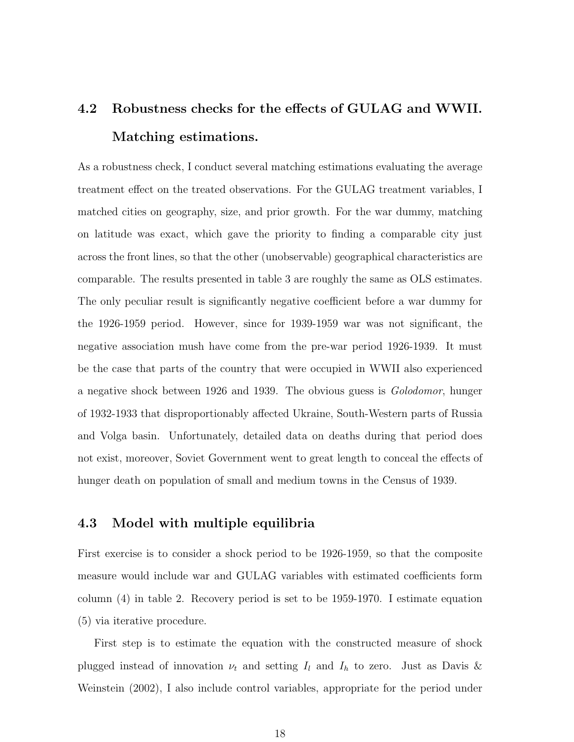# 4.2 Robustness checks for the effects of GULAG and WWII. Matching estimations.

As a robustness check, I conduct several matching estimations evaluating the average treatment effect on the treated observations. For the GULAG treatment variables, I matched cities on geography, size, and prior growth. For the war dummy, matching on latitude was exact, which gave the priority to finding a comparable city just across the front lines, so that the other (unobservable) geographical characteristics are comparable. The results presented in table 3 are roughly the same as OLS estimates. The only peculiar result is significantly negative coefficient before a war dummy for the 1926-1959 period. However, since for 1939-1959 war was not significant, the negative association mush have come from the pre-war period 1926-1939. It must be the case that parts of the country that were occupied in WWII also experienced a negative shock between 1926 and 1939. The obvious guess is Golodomor, hunger of 1932-1933 that disproportionably affected Ukraine, South-Western parts of Russia and Volga basin. Unfortunately, detailed data on deaths during that period does not exist, moreover, Soviet Government went to great length to conceal the effects of hunger death on population of small and medium towns in the Census of 1939.

### 4.3 Model with multiple equilibria

First exercise is to consider a shock period to be 1926-1959, so that the composite measure would include war and GULAG variables with estimated coefficients form column (4) in table 2. Recovery period is set to be 1959-1970. I estimate equation (5) via iterative procedure.

First step is to estimate the equation with the constructed measure of shock plugged instead of innovation  $\nu_t$  and setting  $I_l$  and  $I_h$  to zero. Just as Davis & Weinstein (2002), I also include control variables, appropriate for the period under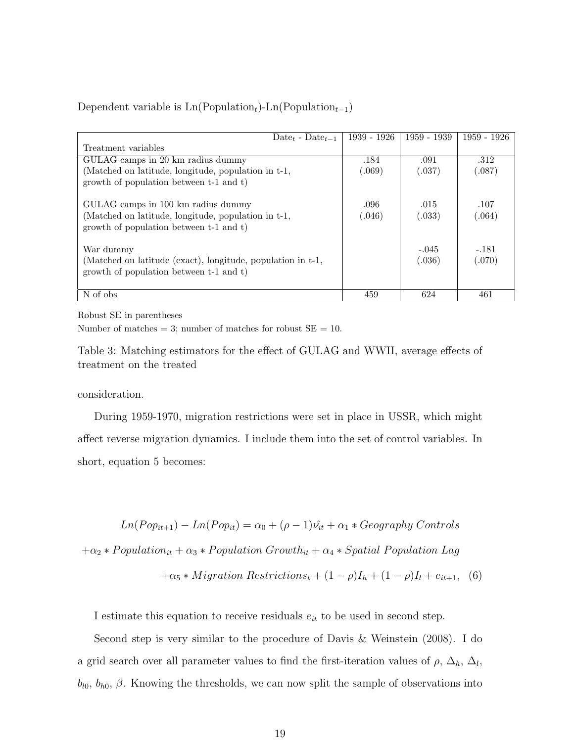| $Date_t - Date_{t-1}$                                                                                  | $1939 - 1926$ | 1959 - 1939 | 1959 - 1926 |
|--------------------------------------------------------------------------------------------------------|---------------|-------------|-------------|
| Treatment variables                                                                                    |               |             |             |
| GULAG camps in 20 km radius dummy                                                                      | .184          | .091        | .312        |
| (Matched on latitude, longitude, population in t-1,                                                    | (.069)        | (.037)      | (.087)      |
| growth of population between t-1 and t)                                                                |               |             |             |
| GULAG camps in 100 km radius dummy                                                                     | .096          | .015        | .107        |
| (Matched on latitude, longitude, population in t-1,<br>growth of population between t-1 and t)         | (.046)        | (.033)      | (.064)      |
| War dummy                                                                                              |               | $-.045$     | $-.181$     |
| (Matched on latitude (exact), longitude, population in t-1,<br>growth of population between t-1 and t) |               | (.036)      | (.070)      |
| N of obs                                                                                               | 459           | 624         | 461         |

Dependent variable is  $\text{Ln}(\text{Population}_t)$ -Ln(Population<sub>t−1</sub>)

Robust SE in parentheses

Number of matches  $= 3$ ; number of matches for robust  $SE = 10$ .

Table 3: Matching estimators for the effect of GULAG and WWII, average effects of treatment on the treated

consideration.

During 1959-1970, migration restrictions were set in place in USSR, which might affect reverse migration dynamics. I include them into the set of control variables. In short, equation 5 becomes:

 $Ln(Pop_{it+1}) - Ln(Pop_{it}) = \alpha_0 + (\rho - 1)\hat{\nu_{it}} + \alpha_1 * Geography$  Controls

 $+\alpha_2 * Population_{it} + \alpha_3 * Population Growth_{it} + \alpha_4 * Spatial Population Lag$ 

$$
+\alpha_5 * Migration\;Restrictionst + (1 - \rho)Ih + (1 - \rho)Il + eit+1, (6)
$$

I estimate this equation to receive residuals  $e_{it}$  to be used in second step.

Second step is very similar to the procedure of Davis & Weinstein (2008). I do a grid search over all parameter values to find the first-iteration values of  $\rho$ ,  $\Delta_h$ ,  $\Delta_l$ ,  $b_{l0}$ ,  $b_{h0}$ ,  $\beta$ . Knowing the thresholds, we can now split the sample of observations into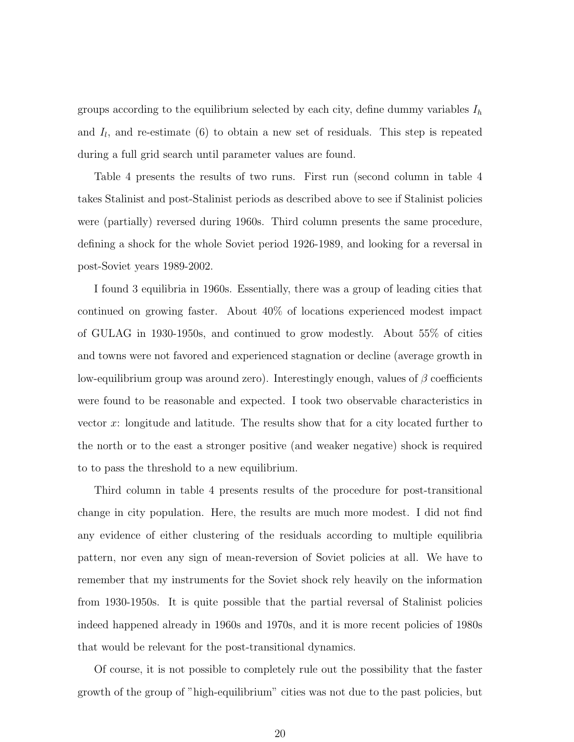groups according to the equilibrium selected by each city, define dummy variables  $I<sub>h</sub>$ and  $I_l$ , and re-estimate (6) to obtain a new set of residuals. This step is repeated during a full grid search until parameter values are found.

Table 4 presents the results of two runs. First run (second column in table 4 takes Stalinist and post-Stalinist periods as described above to see if Stalinist policies were (partially) reversed during 1960s. Third column presents the same procedure, defining a shock for the whole Soviet period 1926-1989, and looking for a reversal in post-Soviet years 1989-2002.

I found 3 equilibria in 1960s. Essentially, there was a group of leading cities that continued on growing faster. About 40% of locations experienced modest impact of GULAG in 1930-1950s, and continued to grow modestly. About 55% of cities and towns were not favored and experienced stagnation or decline (average growth in low-equilibrium group was around zero). Interestingly enough, values of  $\beta$  coefficients were found to be reasonable and expected. I took two observable characteristics in vector x: longitude and latitude. The results show that for a city located further to the north or to the east a stronger positive (and weaker negative) shock is required to to pass the threshold to a new equilibrium.

Third column in table 4 presents results of the procedure for post-transitional change in city population. Here, the results are much more modest. I did not find any evidence of either clustering of the residuals according to multiple equilibria pattern, nor even any sign of mean-reversion of Soviet policies at all. We have to remember that my instruments for the Soviet shock rely heavily on the information from 1930-1950s. It is quite possible that the partial reversal of Stalinist policies indeed happened already in 1960s and 1970s, and it is more recent policies of 1980s that would be relevant for the post-transitional dynamics.

Of course, it is not possible to completely rule out the possibility that the faster growth of the group of "high-equilibrium" cities was not due to the past policies, but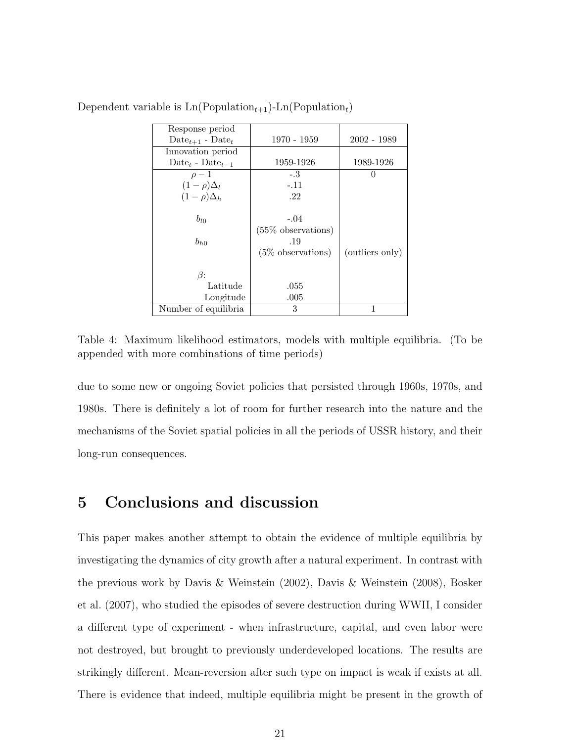| Response period                                      |                       |                 |
|------------------------------------------------------|-----------------------|-----------------|
| Date <sub><math>t+1</math></sub> - Date <sub>t</sub> | 1970 - 1959           | 2002 - 1989     |
| Innovation period                                    |                       |                 |
| Date <sub>t</sub> - Date <sub>t-1</sub>              | 1959-1926             | 1989-1926       |
| $\rho-1$                                             | $-.3$                 |                 |
| $(1-\rho)\Delta_l$                                   | $-.11$                |                 |
| $(1-\rho)\Delta_h$                                   | .22                   |                 |
|                                                      |                       |                 |
| $b_{l0}$                                             | $-.04$                |                 |
|                                                      | $(55\%$ observations) |                 |
| $b_{h0}$                                             | .19                   |                 |
|                                                      | $(5\%$ observations)  | (outliers only) |
|                                                      |                       |                 |
| $\beta$ :                                            |                       |                 |
| Latitude                                             | .055                  |                 |
| Longitude                                            | .005                  |                 |
| Number of equilibria                                 | 3                     | 1               |

Dependent variable is  $\text{Ln}(\text{Population}_{t+1})$ -Ln(Population<sub>t</sub>)

Table 4: Maximum likelihood estimators, models with multiple equilibria. (To be appended with more combinations of time periods)

due to some new or ongoing Soviet policies that persisted through 1960s, 1970s, and 1980s. There is definitely a lot of room for further research into the nature and the mechanisms of the Soviet spatial policies in all the periods of USSR history, and their long-run consequences.

# 5 Conclusions and discussion

This paper makes another attempt to obtain the evidence of multiple equilibria by investigating the dynamics of city growth after a natural experiment. In contrast with the previous work by Davis & Weinstein (2002), Davis & Weinstein (2008), Bosker et al. (2007), who studied the episodes of severe destruction during WWII, I consider a different type of experiment - when infrastructure, capital, and even labor were not destroyed, but brought to previously underdeveloped locations. The results are strikingly different. Mean-reversion after such type on impact is weak if exists at all. There is evidence that indeed, multiple equilibria might be present in the growth of